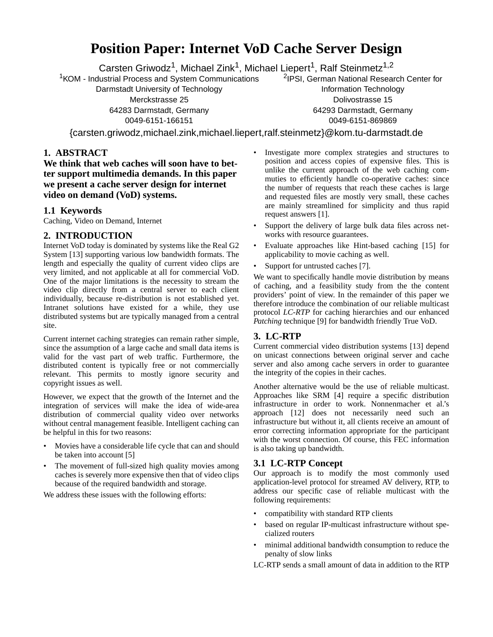# **Position Paper: Internet VoD Cache Server Design**

Carsten Griwodz<sup>1</sup>, Michael Zink<sup>1</sup>, Michael Liepert<sup>1</sup>, Ralf Steinmetz<sup>1,2</sup>

<sup>1</sup> KOM - Industrial Process and System Communications

Darmstadt University of Technology Merckstrasse 25 64283 Darmstadt, Germany 0049-6151-166151

<sup>2</sup>IPSI, German National Research Center for Information Technology Dolivostrasse 15 64293 Darmstadt, Germany 0049-6151-869869

{carsten.griwodz,michael.zink,michael.liepert,ralf.steinmetz}@kom.tu-darmstadt.de

## **1. ABSTRACT**

**We think that web caches will soon have to better support multimedia demands. In this paper we present a cache server design for internet video on demand (VoD) systems.**

## **1.1 Keywords**

Caching, Video on Demand, Internet

## **2. INTRODUCTION**

Internet VoD today is dominated by systems like the Real G2 System [13] supporting various low bandwidth formats. The length and especially the quality of current video clips are very limited, and not applicable at all for commercial VoD. One of the major limitations is the necessity to stream the video clip directly from a central server to each client individually, because re-distribution is not established yet. Intranet solutions have existed for a while, they use distributed systems but are typically managed from a central site.

Current internet caching strategies can remain rather simple, since the assumption of a large cache and small data items is valid for the vast part of web traffic. Furthermore, the distributed content is typically free or not commercially relevant. This permits to mostly ignore security and copyright issues as well.

However, we expect that the growth of the Internet and the integration of services will make the idea of wide-area distribution of commercial quality video over networks without central management feasible. Intelligent caching can be helpful in this for two reasons:

- Movies have a considerable life cycle that can and should be taken into account [5]
- The movement of full-sized high quality movies among caches is severely more expensive then that of video clips because of the required bandwidth and storage.

We address these issues with the following efforts:

- Investigate more complex strategies and structures to position and access copies of expensive files. This is unlike the current approach of the web caching commuties to efficiently handle co-operative caches: since the number of requests that reach these caches is large and requested files are mostly very small, these caches are mainly streamlined for simplicity and thus rapid request answers [1].
- Support the delivery of large bulk data files across networks with resource guarantees.
- Evaluate approaches like Hint-based caching [15] for applicability to movie caching as well.
- Support for untrusted caches [7].

We want to specifically handle movie distribution by means of caching, and a feasibility study from the the content providers' point of view. In the remainder of this paper we therefore introduce the combination of our reliable multicast protocol *LC-RTP* for caching hierarchies and our enhanced *Patching* technique [9] for bandwidth friendly True VoD.

## **3. LC-RTP**

Current commercial video distribution systems [13] depend on unicast connections between original server and cache server and also among cache servers in order to guarantee the integrity of the copies in their caches.

Another alternative would be the use of reliable multicast. Approaches like SRM [4] require a specific distribution infrastructure in order to work. Nonnenmacher et al.'s approach [12] does not necessarily need such an infrastructure but without it, all clients receive an amount of error correcting information appropriate for the participant with the worst connection. Of course, this FEC information is also taking up bandwidth.

## **3.1 LC-RTP Concept**

Our approach is to modify the most commonly used application-level protocol for streamed AV delivery, RTP, to address our specific case of reliable multicast with the following requirements:

- compatibility with standard RTP clients
- based on regular IP-multicast infrastructure without specialized routers
- minimal additional bandwidth consumption to reduce the penalty of slow links

LC-RTP sends a small amount of data in addition to the RTP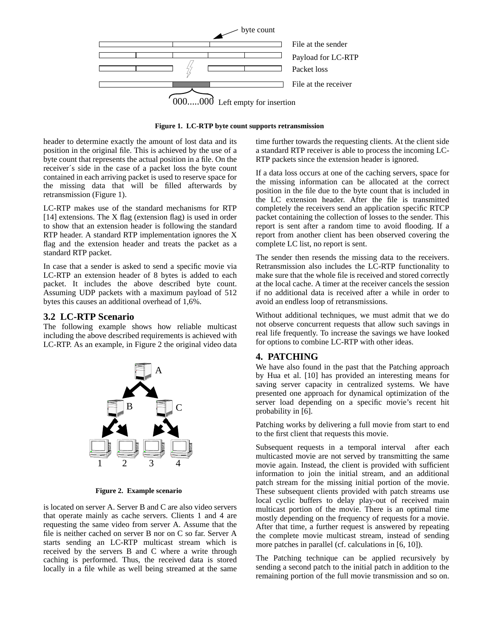

**Figure 1. LC-RTP byte count supports retransmission**

header to determine exactly the amount of lost data and its position in the original file. This is achieved by the use of a byte count that represents the actual position in a file. On the receiver´s side in the case of a packet loss the byte count contained in each arriving packet is used to reserve space for the missing data that will be filled afterwards by retransmission (Figure 1).

LC-RTP makes use of the standard mechanisms for RTP [14] extensions. The X flag (extension flag) is used in order to show that an extension header is following the standard RTP header. A standard RTP implementation ignores the X flag and the extension header and treats the packet as a standard RTP packet.

In case that a sender is asked to send a specific movie via LC-RTP an extension header of 8 bytes is added to each packet. It includes the above described byte count. Assuming UDP packets with a maximum payload of 512 bytes this causes an additional overhead of 1,6%.

### **3.2 LC-RTP Scenario**

The following example shows how reliable multicast including the above described requirements is achieved with LC-RTP. As an example, in Figure 2 the original video data



**Figure 2. Example scenario**

is located on server A. Server B and C are also video servers that operate mainly as cache servers. Clients 1 and 4 are requesting the same video from server A. Assume that the file is neither cached on server B nor on C so far. Server A starts sending an LC-RTP multicast stream which is received by the servers B and C where a write through caching is performed. Thus, the received data is stored locally in a file while as well being streamed at the same time further towards the requesting clients. At the client side a standard RTP receiver is able to process the incoming LC-RTP packets since the extension header is ignored.

If a data loss occurs at one of the caching servers, space for the missing information can be allocated at the correct position in the file due to the byte count that is included in the LC extension header. After the file is transmitted completely the receivers send an application specific RTCP packet containing the collection of losses to the sender. This report is sent after a random time to avoid flooding. If a report from another client has been observed covering the complete LC list, no report is sent.

The sender then resends the missing data to the receivers. Retransmission also includes the LC-RTP functionality to make sure that the whole file is received and stored correctly at the local cache. A timer at the receiver cancels the session if no additional data is received after a while in order to avoid an endless loop of retransmissions.

Without additional techniques, we must admit that we do not observe concurrent requests that allow such savings in real life frequently. To increase the savings we have looked for options to combine LC-RTP with other ideas.

## **4. PATCHING**

We have also found in the past that the Patching approach by Hua et al. [10] has provided an interesting means for saving server capacity in centralized systems. We have presented one approach for dynamical optimization of the server load depending on a specific movie's recent hit probability in [6].

Patching works by delivering a full movie from start to end to the first client that requests this movie.

Subsequent requests in a temporal interval after each multicasted movie are not served by transmitting the same movie again. Instead, the client is provided with sufficient information to join the initial stream, and an additional patch stream for the missing initial portion of the movie. These subsequent clients provided with patch streams use local cyclic buffers to delay play-out of received main multicast portion of the movie. There is an optimal time mostly depending on the frequency of requests for a movie. After that time, a further request is answered by repeating the complete movie multicast stream, instead of sending more patches in parallel (cf. calculations in [6, 10]).

The Patching technique can be applied recursively by sending a second patch to the initial patch in addition to the remaining portion of the full movie transmission and so on.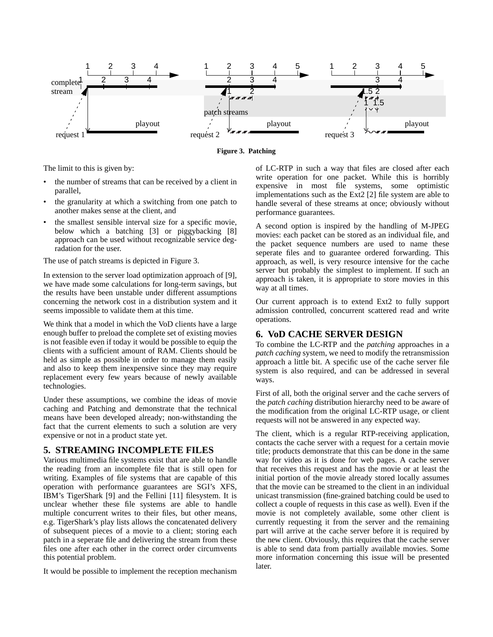

**Figure 3. Patching**

The limit to this is given by:

- the number of streams that can be received by a client in parallel,
- the granularity at which a switching from one patch to another makes sense at the client, and
- the smallest sensible interval size for a specific movie, below which a batching [3] or piggybacking [8] approach can be used without recognizable service degradation for the user.

The use of patch streams is depicted in Figure 3.

In extension to the server load optimization approach of [9], we have made some calculations for long-term savings, but the results have been unstable under different assumptions concerning the network cost in a distribution system and it seems impossible to validate them at this time.

We think that a model in which the VoD clients have a large enough buffer to preload the complete set of existing movies is not feasible even if today it would be possible to equip the clients with a sufficient amount of RAM. Clients should be held as simple as possible in order to manage them easily and also to keep them inexpensive since they may require replacement every few years because of newly available technologies.

Under these assumptions, we combine the ideas of movie caching and Patching and demonstrate that the technical means have been developed already; non-withstanding the fact that the current elements to such a solution are very expensive or not in a product state yet.

## **5. STREAMING INCOMPLETE FILES**

Various multimedia file systems exist that are able to handle the reading from an incomplete file that is still open for writing. Examples of file systems that are capable of this operation with performance guarantees are SGI's XFS, IBM's TigerShark [9] and the Fellini [11] filesystem. It is unclear whether these file systems are able to handle multiple concurrent writes to their files, but other means, e.g. TigerShark's play lists allows the concatenated delivery of subsequent pieces of a movie to a client; storing each patch in a seperate file and delivering the stream from these files one after each other in the correct order circumvents this potential problem.

It would be possible to implement the reception mechanism

of LC-RTP in such a way that files are closed after each write operation for one packet. While this is horribly expensive in most file systems, some optimistic implementations such as the Ext2 [2] file system are able to handle several of these streams at once; obviously without performance guarantees.

A second option is inspired by the handling of M-JPEG movies: each packet can be stored as an individual file, and the packet sequence numbers are used to name these seperate files and to guarantee ordered forwarding. This approach, as well, is very resource intensive for the cache server but probably the simplest to implement. If such an approach is taken, it is appropriate to store movies in this way at all times.

Our current approach is to extend Ext2 to fully support admission controlled, concurrent scattered read and write operations.

#### **6. VoD CACHE SERVER DESIGN**

To combine the LC-RTP and the *patching* approaches in a *patch caching* system, we need to modify the retransmission approach a little bit. A specific use of the cache server file system is also required, and can be addressed in several ways.

First of all, both the original server and the cache servers of the *patch caching* distribution hierarchy need to be aware of the modification from the original LC-RTP usage, or client requests will not be answered in any expected way.

The client, which is a regular RTP-receiving application, contacts the cache server with a request for a certain movie title; products demonstrate that this can be done in the same way for video as it is done for web pages. A cache server that receives this request and has the movie or at least the initial portion of the movie already stored locally assumes that the movie can be streamed to the client in an individual unicast transmission (fine-grained batching could be used to collect a couple of requests in this case as well). Even if the movie is not completely available, some other client is currently requesting it from the server and the remaining part will arrive at the cache server before it is required by the new client. Obviously, this requires that the cache server is able to send data from partially available movies. Some more information concerning this issue will be presented later.